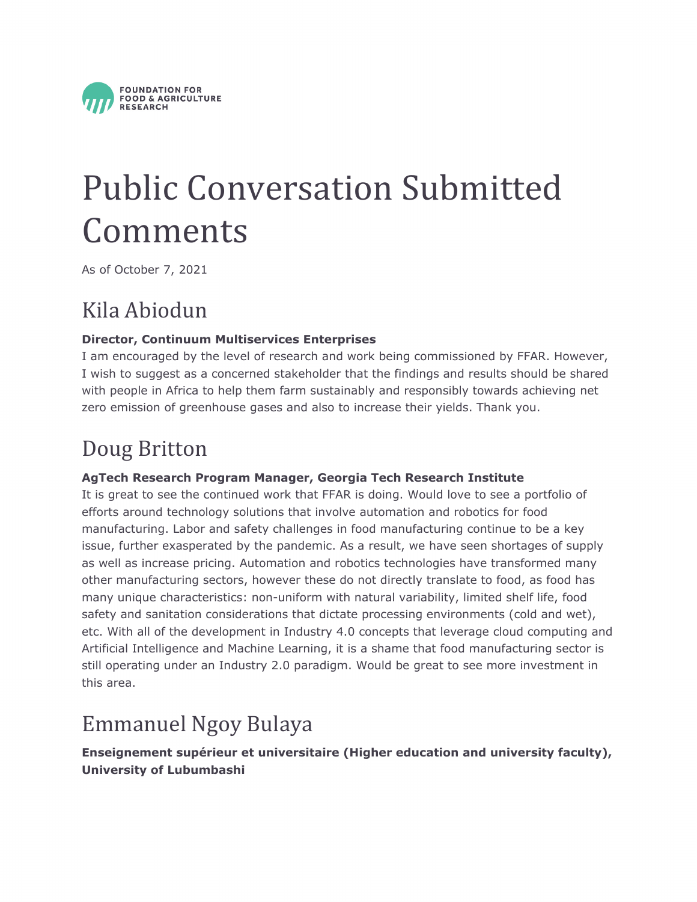

# Public Conversation Submitted Comments

As of October 7, 2021

### Kila Abiodun

#### **Director, Continuum Multiservices Enterprises**

I am encouraged by the level of research and work being commissioned by FFAR. However, I wish to suggest as a concerned stakeholder that the findings and results should be shared with people in Africa to help them farm sustainably and responsibly towards achieving net zero emission of greenhouse gases and also to increase their yields. Thank you.

### Doug Britton

#### **AgTech Research Program Manager, Georgia Tech Research Institute**

It is great to see the continued work that FFAR is doing. Would love to see a portfolio of efforts around technology solutions that involve automation and robotics for food manufacturing. Labor and safety challenges in food manufacturing continue to be a key issue, further exasperated by the pandemic. As a result, we have seen shortages of supply as well as increase pricing. Automation and robotics technologies have transformed many other manufacturing sectors, however these do not directly translate to food, as food has many unique characteristics: non-uniform with natural variability, limited shelf life, food safety and sanitation considerations that dictate processing environments (cold and wet), etc. With all of the development in Industry 4.0 concepts that leverage cloud computing and Artificial Intelligence and Machine Learning, it is a shame that food manufacturing sector is still operating under an Industry 2.0 paradigm. Would be great to see more investment in this area.

### Emmanuel Ngoy Bulaya

**Enseignement supérieur et universitaire (Higher education and university faculty), University of Lubumbashi**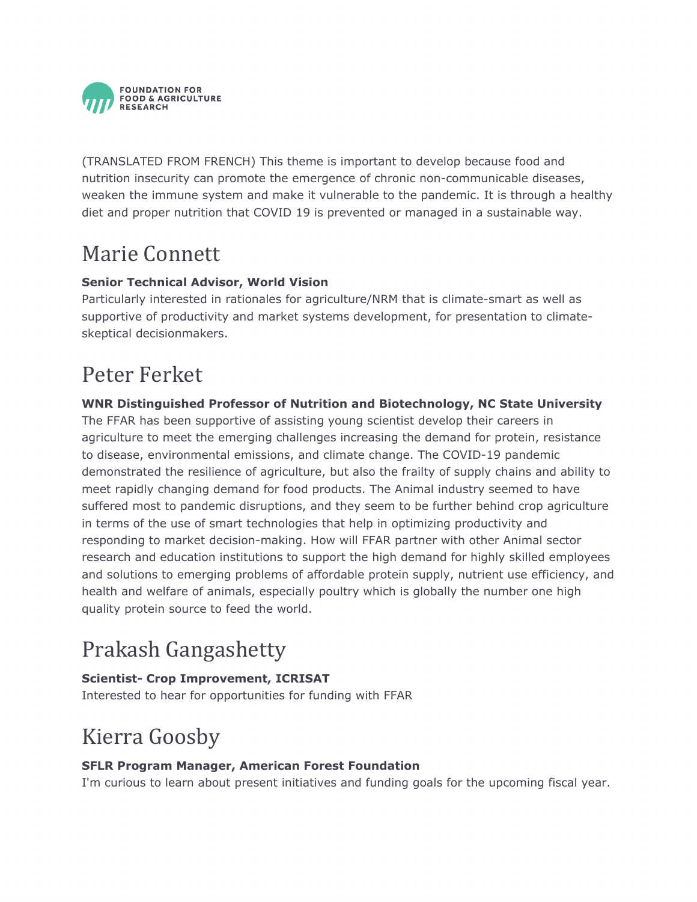

(TRANSLATED FROM FRENCH) This theme is important to develop because food and nutrition insecurity can promote the emergence of chronic non-communicable diseases, weaken the immune system and make it vulnerable to the pandemic. It is through a healthy diet and proper nutrition that COVID 19 is prevented or managed in a sustainable way.

### Marie Connett

#### **Senior Technical Advisor, World Vision**

Particularly interested in rationales for agriculture/NRM that is climate-smart as well as supportive of productivity and market systems development, for presentation to climateskeptical decisionmakers.

### Peter Ferket

#### **WNR Distinguished Professor of Nutrition and Biotechnology, NC State University**

The FFAR has been supportive of assisting young scientist develop their careers in agriculture to meet the emerging challenges increasing the demand for protein, resistance to disease, environmental emissions, and climate change. The COVID-19 pandemic demonstrated the resilience of agriculture, but also the frailty of supply chains and ability to meet rapidly changing demand for food products. The Animal industry seemed to have suffered most to pandemic disruptions, and they seem to be further behind crop agriculture in terms of the use of smart technologies that help in optimizing productivity and responding to market decision-making. How will FFAR partner with other Animal sector research and education institutions to support the high demand for highly skilled employees and solutions to emerging problems of affordable protein supply, nutrient use efficiency, and health and welfare of animals, especially poultry which is globally the number one high quality protein source to feed the world.

### Prakash Gangashetty

**Scientist- Crop Improvement, ICRISAT** Interested to hear for opportunities for funding with FFAR

### Kierra Goosby

#### **SFLR Program Manager, American Forest Foundation**

I'm curious to learn about present initiatives and funding goals for the upcoming fiscal year.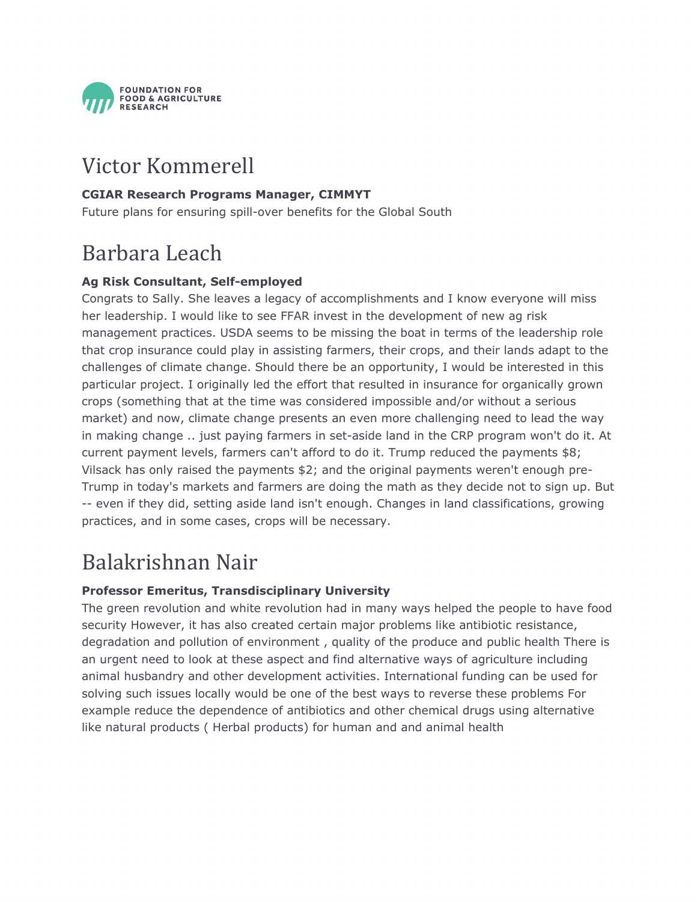

### Victor Kommerell

#### **CGIAR Research Programs Manager, CIMMYT**

Future plans for ensuring spill-over benefits for the Global South

### Barbara Leach

#### **Ag Risk Consultant, Self-employed**

Congrats to Sally. She leaves a legacy of accomplishments and I know everyone will miss her leadership. I would like to see FFAR invest in the development of new ag risk management practices. USDA seems to be missing the boat in terms of the leadership role that crop insurance could play in assisting farmers, their crops, and their lands adapt to the challenges of climate change. Should there be an opportunity, I would be interested in this particular project. I originally led the effort that resulted in insurance for organically grown crops (something that at the time was considered impossible and/or without a serious market) and now, climate change presents an even more challenging need to lead the way in making change .. just paying farmers in set-aside land in the CRP program won't do it. At current payment levels, farmers can't afford to do it. Trump reduced the payments \$8; Vilsack has only raised the payments \$2; and the original payments weren't enough pre-Trump in today's markets and farmers are doing the math as they decide not to sign up. But -- even if they did, setting aside land isn't enough. Changes in land classifications, growing practices, and in some cases, crops will be necessary.

### Balakrishnan Nair

#### **Professor Emeritus, Transdisciplinary University**

The green revolution and white revolution had in many ways helped the people to have food security However, it has also created certain major problems like antibiotic resistance, degradation and pollution of environment , quality of the produce and public health There is an urgent need to look at these aspect and find alternative ways of agriculture including animal husbandry and other development activities. International funding can be used for solving such issues locally would be one of the best ways to reverse these problems For example reduce the dependence of antibiotics and other chemical drugs using alternative like natural products ( Herbal products) for human and and animal health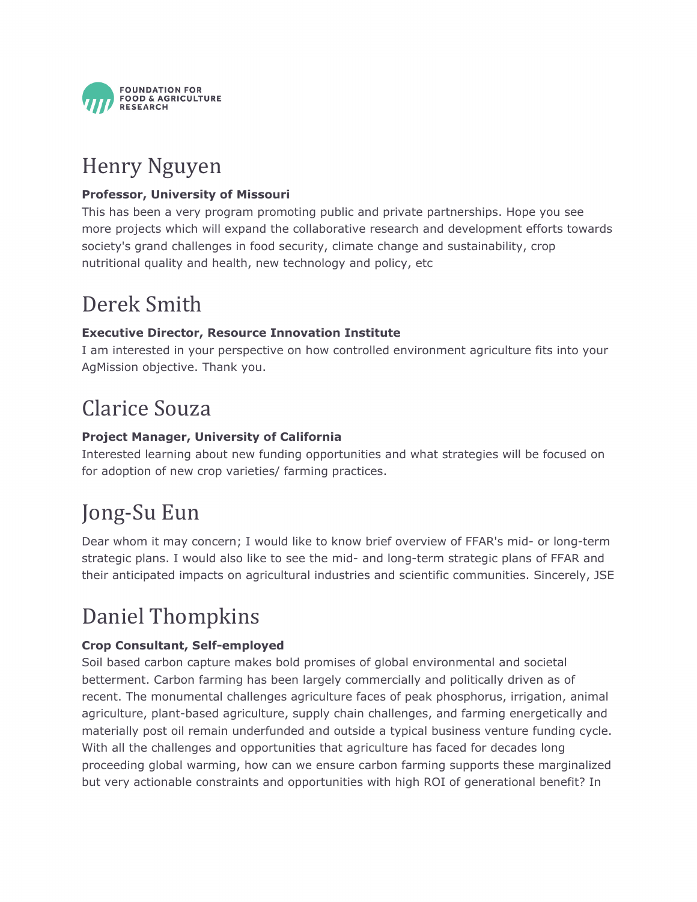

### Henry Nguyen

#### **Professor, University of Missouri**

This has been a very program promoting public and private partnerships. Hope you see more projects which will expand the collaborative research and development efforts towards society's grand challenges in food security, climate change and sustainability, crop nutritional quality and health, new technology and policy, etc

### Derek Smith

#### **Executive Director, Resource Innovation Institute**

I am interested in your perspective on how controlled environment agriculture fits into your AgMission objective. Thank you.

### Clarice Souza

#### **Project Manager, University of California**

Interested learning about new funding opportunities and what strategies will be focused on for adoption of new crop varieties/ farming practices.

### Jong-Su Eun

Dear whom it may concern; I would like to know brief overview of FFAR's mid- or long-term strategic plans. I would also like to see the mid- and long-term strategic plans of FFAR and their anticipated impacts on agricultural industries and scientific communities. Sincerely, JSE

### Daniel Thompkins

#### **Crop Consultant, Self-employed**

Soil based carbon capture makes bold promises of global environmental and societal betterment. Carbon farming has been largely commercially and politically driven as of recent. The monumental challenges agriculture faces of peak phosphorus, irrigation, animal agriculture, plant-based agriculture, supply chain challenges, and farming energetically and materially post oil remain underfunded and outside a typical business venture funding cycle. With all the challenges and opportunities that agriculture has faced for decades long proceeding global warming, how can we ensure carbon farming supports these marginalized but very actionable constraints and opportunities with high ROI of generational benefit? In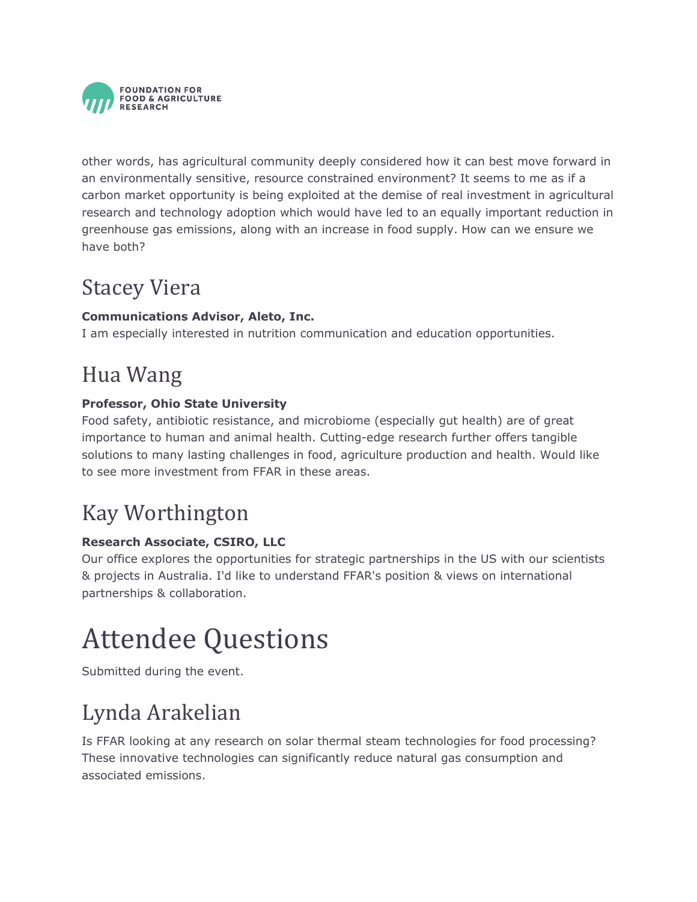

other words, has agricultural community deeply considered how it can best move forward in an environmentally sensitive, resource constrained environment? It seems to me as if a carbon market opportunity is being exploited at the demise of real investment in agricultural research and technology adoption which would have led to an equally important reduction in greenhouse gas emissions, along with an increase in food supply. How can we ensure we have both?

### Stacey Viera

#### **Communications Advisor, Aleto, Inc.**

I am especially interested in nutrition communication and education opportunities.

### Hua Wang

#### **Professor, Ohio State University**

Food safety, antibiotic resistance, and microbiome (especially gut health) are of great importance to human and animal health. Cutting-edge research further offers tangible solutions to many lasting challenges in food, agriculture production and health. Would like to see more investment from FFAR in these areas.

### Kay Worthington

#### **Research Associate, CSIRO, LLC**

Our office explores the opportunities for strategic partnerships in the US with our scientists & projects in Australia. I'd like to understand FFAR's position & views on international partnerships & collaboration.

## Attendee Questions

Submitted during the event.

### Lynda Arakelian

Is FFAR looking at any research on solar thermal steam technologies for food processing? These innovative technologies can significantly reduce natural gas consumption and associated emissions.